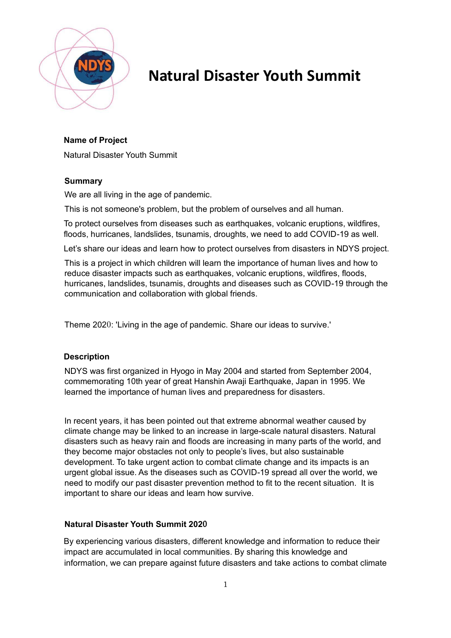

# **Natural Disaster Youth Summit**

# **Name of Project**

Natural Disaster Youth Summit

## **Summary**

We are all living in the age of pandemic.

This is not someone's problem, but the problem of ourselves and all human.

To protect ourselves from diseases such as earthquakes, volcanic eruptions, wildfires, floods, hurricanes, landslides, tsunamis, droughts, we need to add COVID-19 as well.

Let's share our ideas and learn how to protect ourselves from disasters in NDYS project.

This is a project in which children will learn the importance of human lives and how to reduce disaster impacts such as earthquakes, volcanic eruptions, wildfires, floods, hurricanes, landslides, tsunamis, droughts and diseases such as COVID-19 through the communication and collaboration with global friends.

Theme 2020: 'Living in the age of pandemic. Share our ideas to survive.'

# **Description**

NDYS was first organized in Hyogo in May 2004 and started from September 2004, commemorating 10th year of great Hanshin Awaji Earthquake, Japan in 1995. We learned the importance of human lives and preparedness for disasters.

In recent years, it has been pointed out that extreme abnormal weather caused by climate change may be linked to an increase in large-scale natural disasters. Natural disasters such as heavy rain and floods are increasing in many parts of the world, and they become major obstacles not only to people's lives, but also sustainable development. To take urgent action to combat climate change and its impacts is an urgent global issue. As the diseases such as COVID-19 spread all over the world, we need to modify our past disaster prevention method to fit to the recent situation. It is important to share our ideas and learn how survive.

## **Natural Disaster Youth Summit 202**0

By experiencing various disasters, different knowledge and information to reduce their impact are accumulated in local communities. By sharing this knowledge and information, we can prepare against future disasters and take actions to combat climate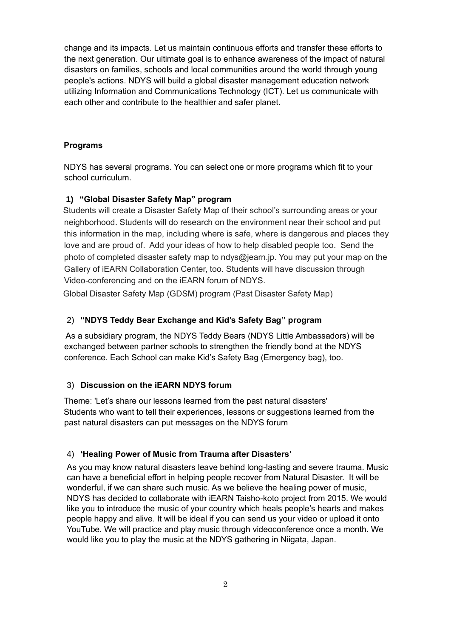change and its impacts. Let us maintain continuous efforts and transfer these efforts to the next generation. Our ultimate goal is to enhance awareness of the impact of natural disasters on families, schools and local communities around the world through young people's actions. NDYS will build a global disaster management education network utilizing Information and Communications Technology (ICT). Let us communicate with each other and contribute to the healthier and safer planet.

## **Programs**

NDYS has several programs. You can select one or more programs which fit to your school curriculum.

## **1) "Global Disaster Safety Map" program**

Students will create a Disaster Safety Map of their school's surrounding areas or your neighborhood. Students will do research on the environment near their school and put this information in the map, including where is safe, where is dangerous and places they love and are proud of. Add your ideas of how to help disabled people too. Send the photo of completed disaster safety map to ndys@jearn.jp. You may put your map on the Gallery of iEARN Collaboration Center, too. Students will have discussion through Video-conferencing and on the iEARN forum of NDYS.

Global Disaster Safety Map (GDSM) program (Past Disaster Safety Map)

# 2) **"NDYS Teddy Bear Exchange and Kid's Safety Bag" program**

As a subsidiary program, the NDYS Teddy Bears (NDYS Little Ambassadors) will be exchanged between partner schools to strengthen the friendly bond at the NDYS conference. Each School can make Kid's Safety Bag (Emergency bag), too.

## 3) **Discussion on the iEARN NDYS forum**

Theme: 'Let's share our lessons learned from the past natural disasters' Students who want to tell their experiences, lessons or suggestions learned from the past natural disasters can put messages on the NDYS forum

# 4) **'Healing Power of Music from Trauma after Disasters'**

As you may know natural disasters leave behind long-lasting and severe trauma. Music can have a beneficial effort in helping people recover from Natural Disaster. It will be wonderful, if we can share such music. As we believe the healing power of music, NDYS has decided to collaborate with iEARN Taisho-koto project from 2015. We would like you to introduce the music of your country which heals people's hearts and makes people happy and alive. It will be ideal if you can send us your video or upload it onto YouTube. We will practice and play music through videoconference once a month. We would like you to play the music at the NDYS gathering in Niigata, Japan.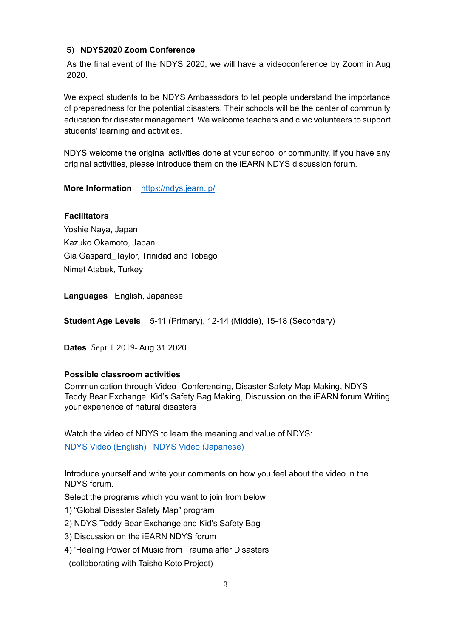#### 5) **NDYS202**0 **Zoom Conference**

As the final event of the NDYS 2020, we will have a videoconference by Zoom in Aug 2020.

We expect students to be NDYS Ambassadors to let people understand the importance of preparedness for the potential disasters. Their schools will be the center of community education for disaster management. We welcome teachers and civic volunteers to support students' learning and activities.

NDYS welcome the original activities done at your school or community. If you have any original activities, please introduce them on the iEARN NDYS discussion forum.

**More Information** https[://ndys.jearn.jp](https://ndys.jearn.jp/)[/](http://ndys.jearn.jp/)

#### **Facilitators**

Yoshie Naya, Japan Kazuko Okamoto, Japan Gia Gaspard\_Taylor, Trinidad and Tobago Nimet Atabek, Turkey

**Languages** English, Japanese

**Student Age Levels** 5-11 (Primary), 12-14 (Middle), 15-18 (Secondary)

**Dates** Sept 1 2019- Aug 31 2020

#### **Possible classroom activities**

Communication through Video- Conferencing, Disaster Safety Map Making, NDYS Teddy Bear Exchange, Kid's Safety Bag Making, Discussion on the iEARN forum Writing your experience of natural disasters

Watch the video of NDYS to learn the meaning and value of NDYS:

[NDYS Video \(English\)](https://www.youtube.com/watch?v=R455F7otPiE) [NDYS Video \(Japanese\)](https://www.youtube.com/watch?v=qfiPG8frExc)

Introduce yourself and write your comments on how you feel about the video in the NDYS forum.

Select the programs which you want to join from below:

- 1) "Global Disaster Safety Map" program
- 2) NDYS Teddy Bear Exchange and Kid's Safety Bag
- 3) Discussion on the iEARN NDYS forum
- 4) 'Healing Power of Music from Trauma after Disasters
- (collaborating with Taisho Koto Project)